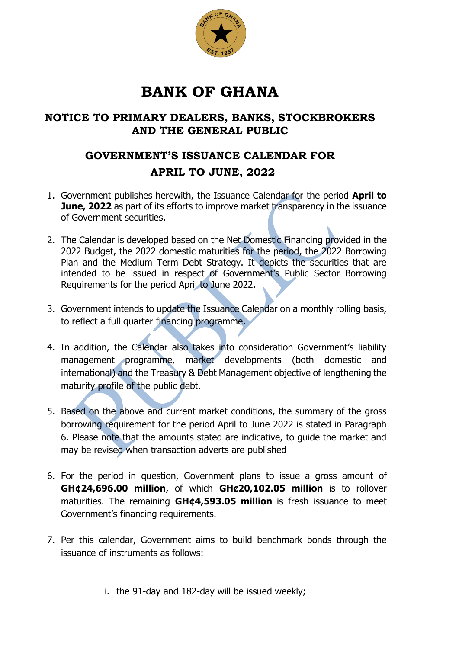

## **BANK OF GHANA**

## **NOTICE TO PRIMARY DEALERS, BANKS, STOCKBROKERS AND THE GENERAL PUBLIC**

## **GOVERNMENT'S ISSUANCE CALENDAR FOR APRIL TO JUNE, 2022**

- 1. Government publishes herewith, the Issuance Calendar for the period **April to June, 2022** as part of its efforts to improve market transparency in the issuance of Government securities.
- 2. The Calendar is developed based on the Net Domestic Financing provided in the 2022 Budget, the 2022 domestic maturities for the period, the 2022 Borrowing Plan and the Medium Term Debt Strategy. It depicts the securities that are intended to be issued in respect of Government's Public Sector Borrowing Requirements for the period April to June 2022.
- 3. Government intends to update the Issuance Calendar on a monthly rolling basis, to reflect a full quarter financing programme.
- 4. In addition, the Calendar also takes into consideration Government's liability management programme, market developments (both domestic and international) and the Treasury & Debt Management objective of lengthening the maturity profile of the public debt.
- 5. Based on the above and current market conditions, the summary of the gross borrowing requirement for the period April to June 2022 is stated in Paragraph 6. Please note that the amounts stated are indicative, to guide the market and may be revised when transaction adverts are published
- 6. For the period in question, Government plans to issue a gross amount of **GH¢24,696.00 million**, of which **GHȼ20,102.05 million** is to rollover maturities. The remaining **GH¢4,593.05 million** is fresh issuance to meet Government's financing requirements.
- 7. Per this calendar, Government aims to build benchmark bonds through the issuance of instruments as follows:
	- i. the 91-day and 182-day will be issued weekly;